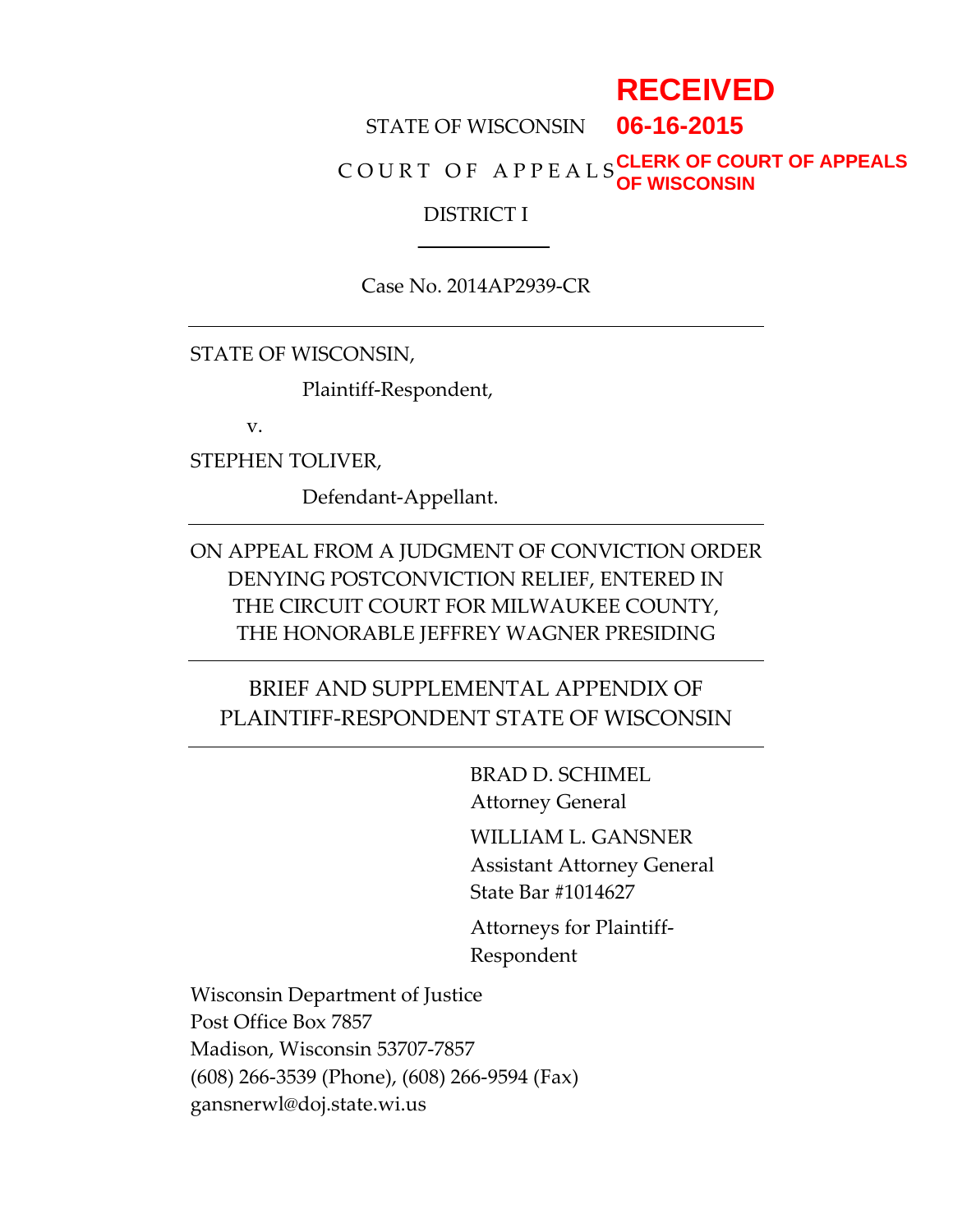# **RECEIVED**

STATE OF WISCONSIN **06-16-2015**

C O U R T O F A P P E A L S **CLERK OF COURT OF APPEALS OF WISCONSIN**

#### DISTRICT I

Case No. 2014AP2939-CR

STATE OF WISCONSIN,

Plaintiff-Respondent,

v.

STEPHEN TOLIVER,

Defendant-Appellant.

ON APPEAL FROM A JUDGMENT OF CONVICTION ORDER DENYING POSTCONVICTION RELIEF, ENTERED IN THE CIRCUIT COURT FOR MILWAUKEE COUNTY, THE HONORABLE JEFFREY WAGNER PRESIDING

#### BRIEF AND SUPPLEMENTAL APPENDIX OF PLAINTIFF-RESPONDENT STATE OF WISCONSIN

BRAD D. SCHIMEL Attorney General

WILLIAM L. GANSNER Assistant Attorney General State Bar #1014627

Attorneys for Plaintiff-Respondent

Wisconsin Department of Justice Post Office Box 7857 Madison, Wisconsin 53707-7857 (608) 266-3539 (Phone), (608) 266-9594 (Fax) gansnerwl@doj.state.wi.us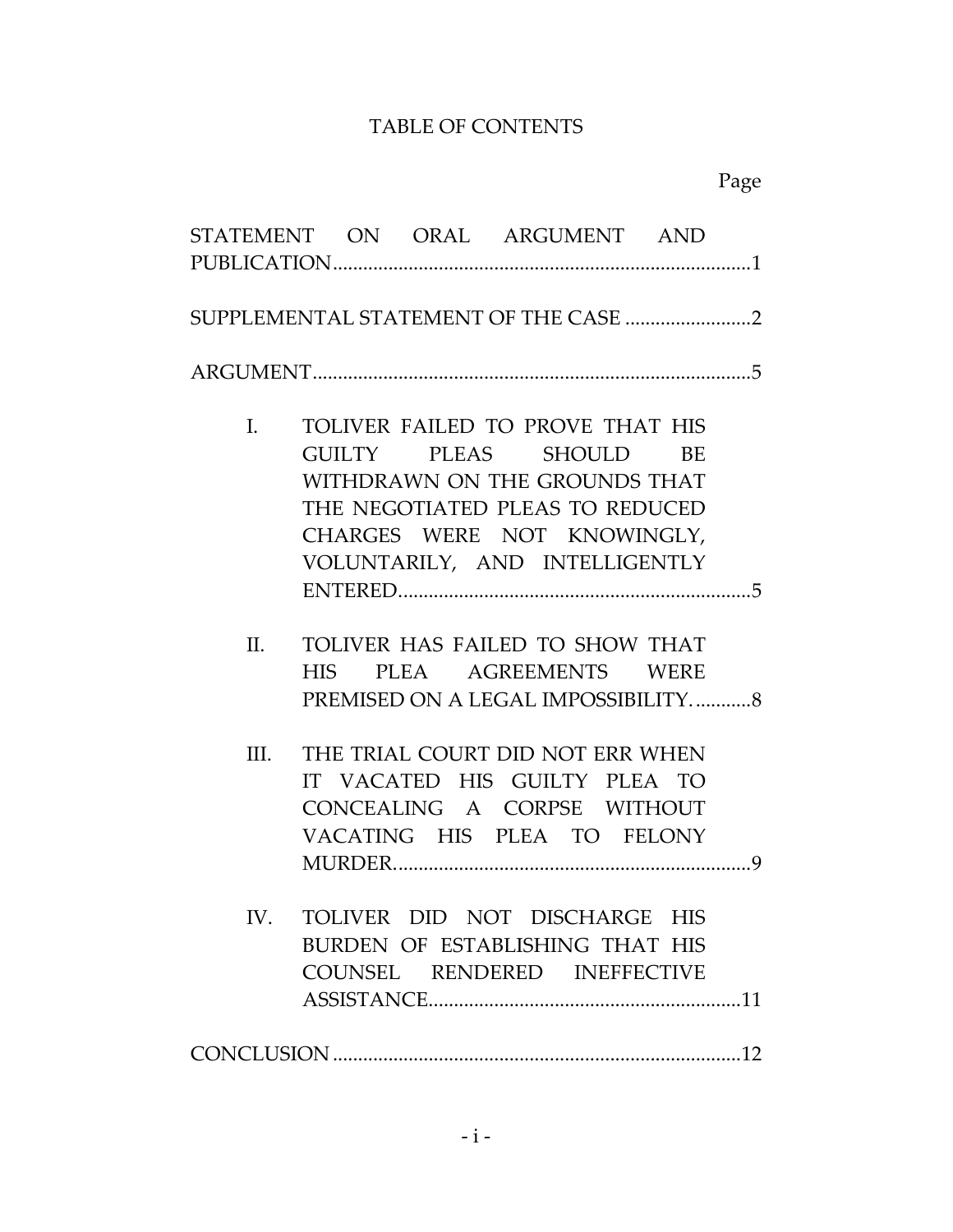### TABLE OF CONTENTS

# Page

|              | STATEMENT ON ORAL ARGUMENT AND                                                                                                                                                                     |  |
|--------------|----------------------------------------------------------------------------------------------------------------------------------------------------------------------------------------------------|--|
|              |                                                                                                                                                                                                    |  |
|              |                                                                                                                                                                                                    |  |
| $\mathbf{L}$ | TOLIVER FAILED TO PROVE THAT HIS<br>GUILTY PLEAS SHOULD<br>BE<br>WITHDRAWN ON THE GROUNDS THAT<br>THE NEGOTIATED PLEAS TO REDUCED<br>CHARGES WERE NOT KNOWINGLY,<br>VOLUNTARILY, AND INTELLIGENTLY |  |
|              |                                                                                                                                                                                                    |  |
| II.          | TOLIVER HAS FAILED TO SHOW THAT<br>HIS PLEA AGREEMENTS WERE<br>PREMISED ON A LEGAL IMPOSSIBILITY8                                                                                                  |  |
| III.         | THE TRIAL COURT DID NOT ERR WHEN<br>IT VACATED HIS GUILTY PLEA TO<br>CONCEALING A CORPSE WITHOUT<br>VACATING HIS PLEA TO FELONY                                                                    |  |
|              | IV. TOLIVER DID NOT DISCHARGE HIS<br>BURDEN OF ESTABLISHING THAT HIS<br>COUNSEL RENDERED INEFFECTIVE                                                                                               |  |
|              |                                                                                                                                                                                                    |  |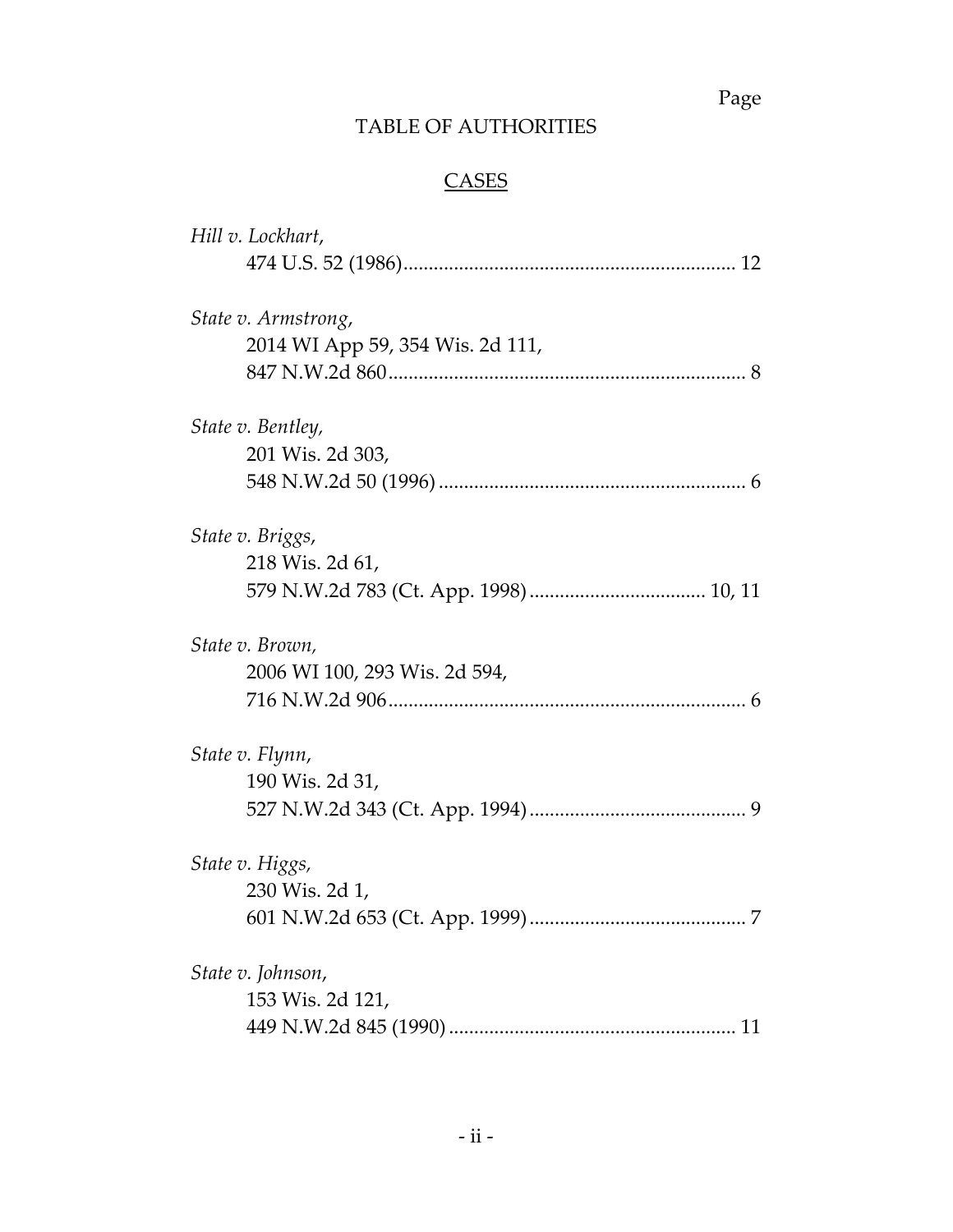Page

# TABLE OF AUTHORITIES

# **CASES**

| Hill v. Lockhart,                |
|----------------------------------|
|                                  |
| State v. Armstrong,              |
| 2014 WI App 59, 354 Wis. 2d 111, |
|                                  |
| State v. Bentley,                |
| 201 Wis. 2d 303,                 |
|                                  |
| State v. Briggs,                 |
| 218 Wis. 2d 61,                  |
|                                  |
| State v. Brown,                  |
| 2006 WI 100, 293 Wis. 2d 594,    |
|                                  |
| State v. Flynn,                  |
| 190 Wis. 2d 31,                  |
|                                  |
| State v. Higgs,                  |
| 230 Wis. 2d 1,                   |
|                                  |
| State v. Johnson,                |
| 153 Wis. 2d 121,                 |
|                                  |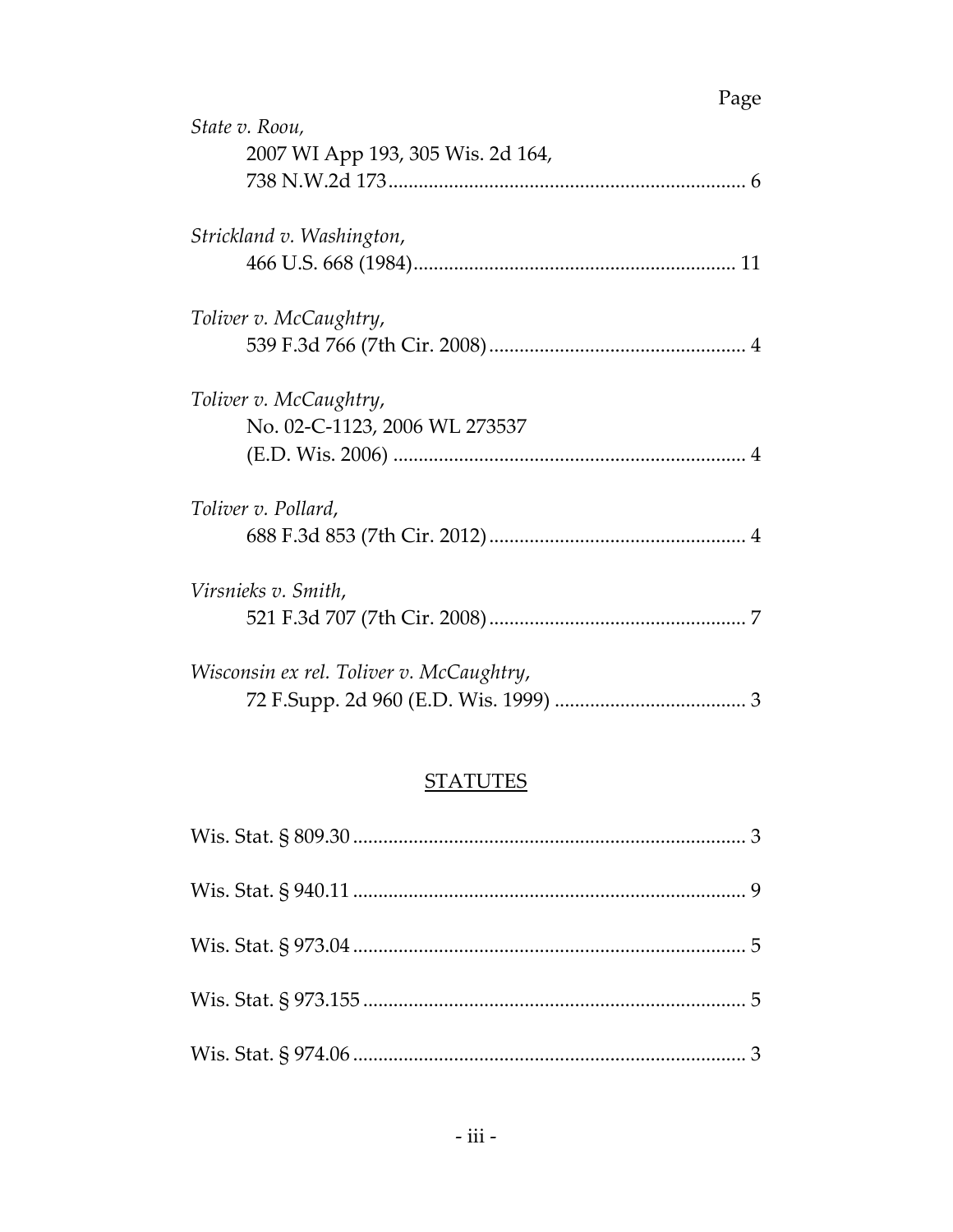#### **STATUTES**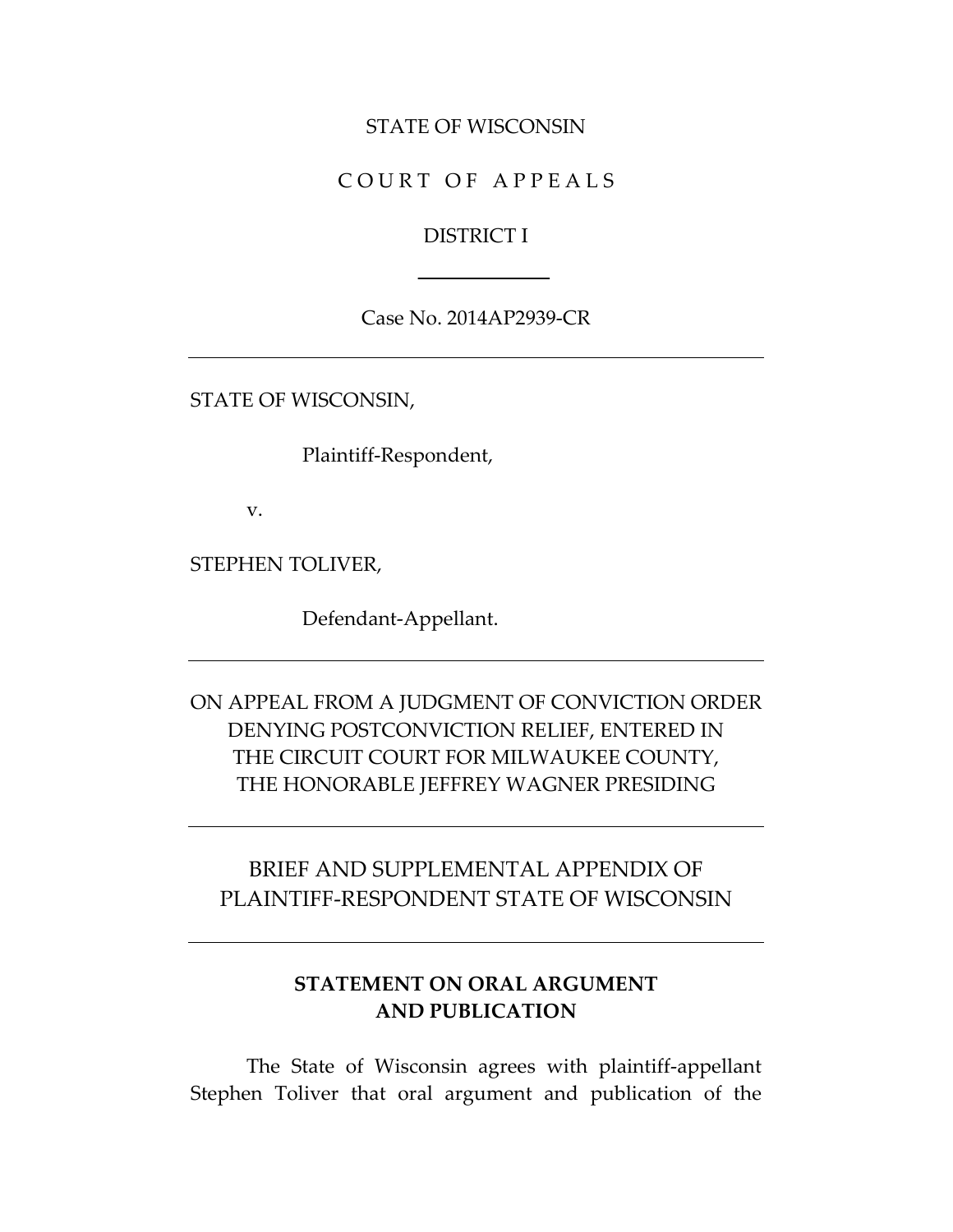#### STATE OF WISCONSIN

#### COURT OF APPEALS

#### DISTRICT I

#### Case No. 2014AP2939-CR

STATE OF WISCONSIN,

Plaintiff-Respondent,

v.

STEPHEN TOLIVER,

Defendant-Appellant.

### ON APPEAL FROM A JUDGMENT OF CONVICTION ORDER DENYING POSTCONVICTION RELIEF, ENTERED IN THE CIRCUIT COURT FOR MILWAUKEE COUNTY, THE HONORABLE JEFFREY WAGNER PRESIDING

### BRIEF AND SUPPLEMENTAL APPENDIX OF PLAINTIFF-RESPONDENT STATE OF WISCONSIN

#### **STATEMENT ON ORAL ARGUMENT AND PUBLICATION**

The State of Wisconsin agrees with plaintiff-appellant Stephen Toliver that oral argument and publication of the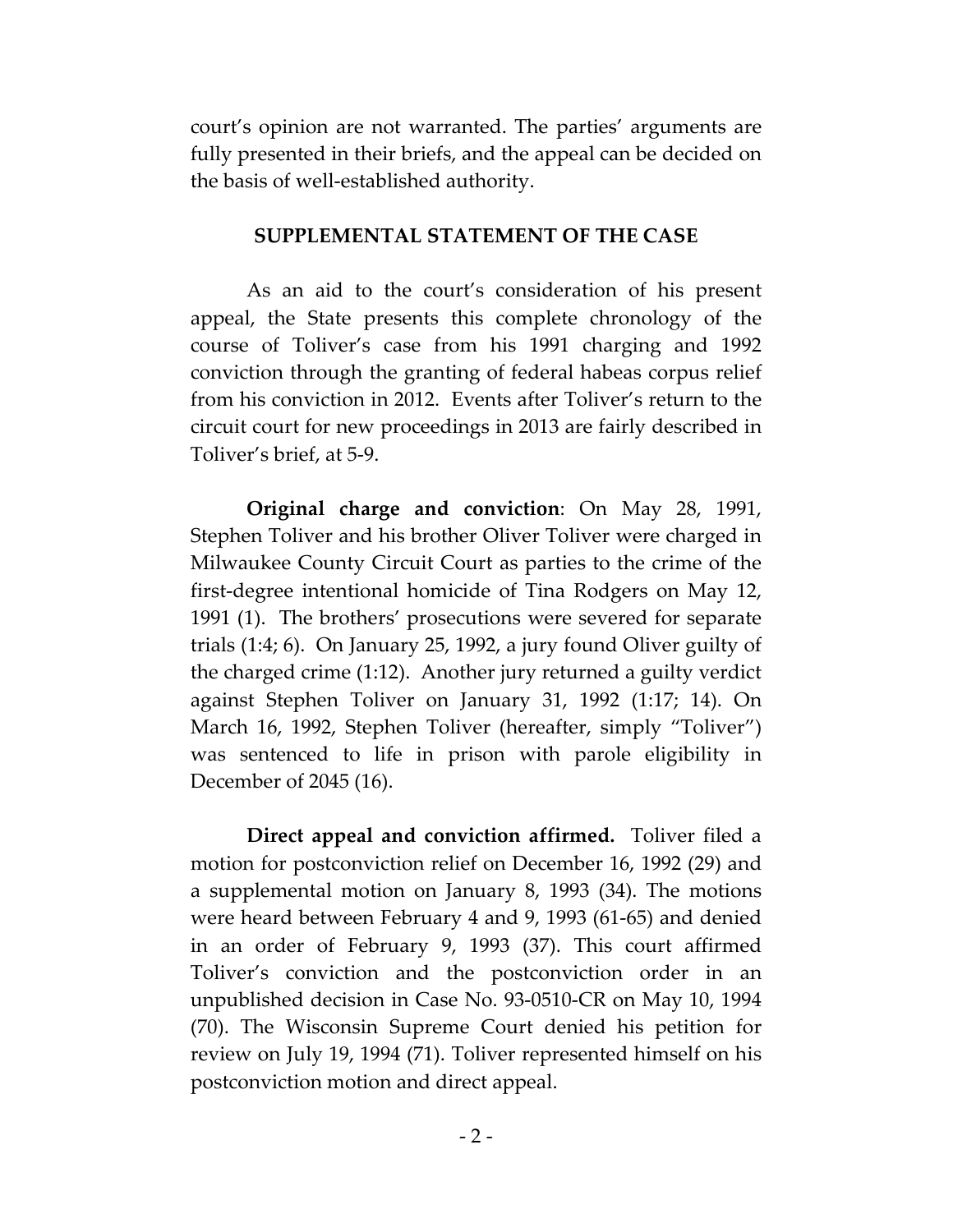court's opinion are not warranted. The parties' arguments are fully presented in their briefs, and the appeal can be decided on the basis of well-established authority.

#### **SUPPLEMENTAL STATEMENT OF THE CASE**

As an aid to the court's consideration of his present appeal, the State presents this complete chronology of the course of Toliver's case from his 1991 charging and 1992 conviction through the granting of federal habeas corpus relief from his conviction in 2012. Events after Toliver's return to the circuit court for new proceedings in 2013 are fairly described in Toliver's brief, at 5-9.

**Original charge and conviction**: On May 28, 1991, Stephen Toliver and his brother Oliver Toliver were charged in Milwaukee County Circuit Court as parties to the crime of the first-degree intentional homicide of Tina Rodgers on May 12, 1991 (1). The brothers' prosecutions were severed for separate trials (1:4; 6). On January 25, 1992, a jury found Oliver guilty of the charged crime (1:12). Another jury returned a guilty verdict against Stephen Toliver on January 31, 1992 (1:17; 14). On March 16, 1992, Stephen Toliver (hereafter, simply "Toliver") was sentenced to life in prison with parole eligibility in December of 2045 (16).

**Direct appeal and conviction affirmed.** Toliver filed a motion for postconviction relief on December 16, 1992 (29) and a supplemental motion on January 8, 1993 (34). The motions were heard between February 4 and 9, 1993 (61-65) and denied in an order of February 9, 1993 (37). This court affirmed Toliver's conviction and the postconviction order in an unpublished decision in Case No. 93-0510-CR on May 10, 1994 (70). The Wisconsin Supreme Court denied his petition for review on July 19, 1994 (71). Toliver represented himself on his postconviction motion and direct appeal.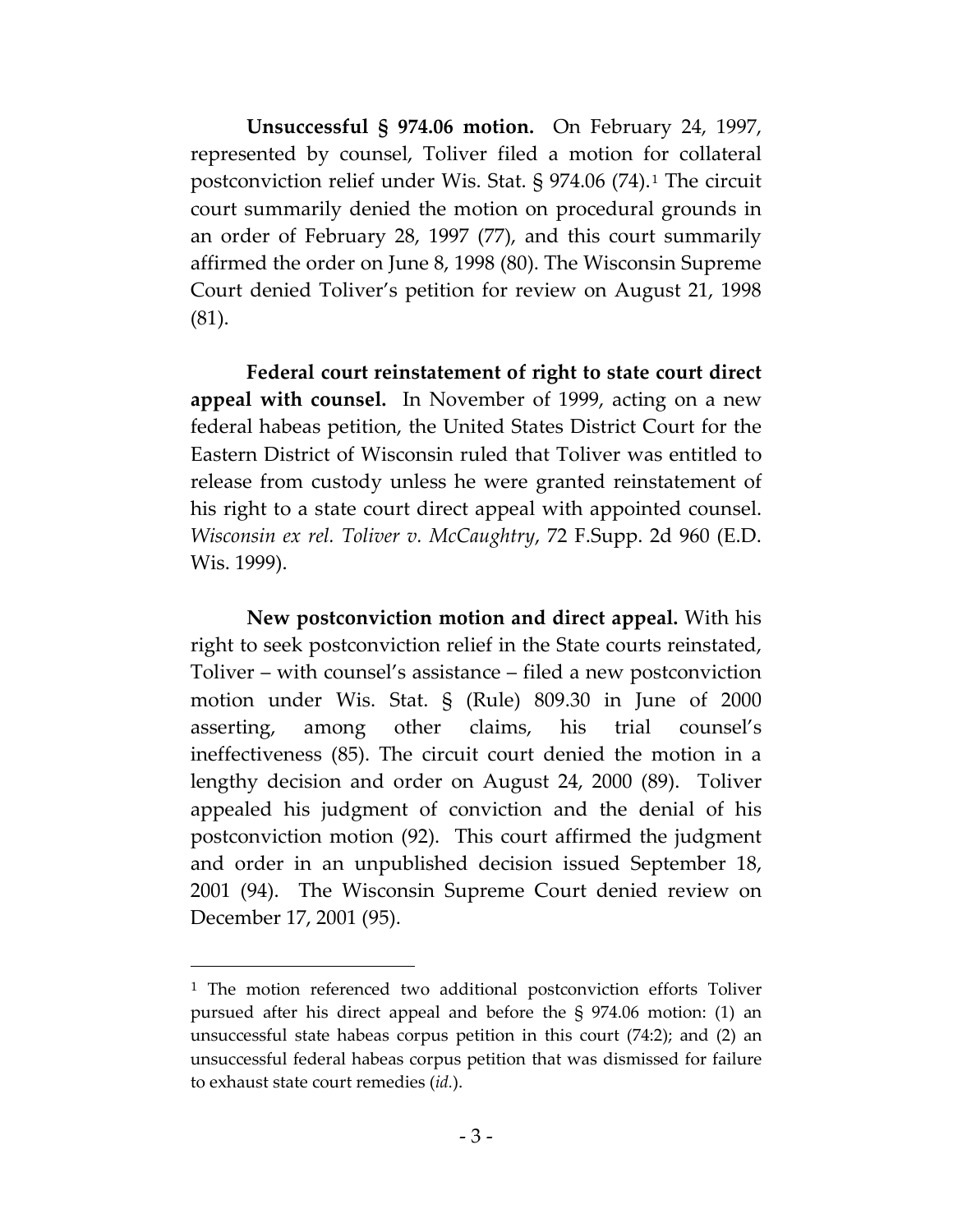**Unsuccessful § 974.06 motion.** On February 24, 1997, represented by counsel, Toliver filed a motion for collateral postconviction relief under Wis. Stat.  $\S$  974.06 (74).<sup>[1](#page-6-0)</sup> The circuit court summarily denied the motion on procedural grounds in an order of February 28, 1997 (77), and this court summarily affirmed the order on June 8, 1998 (80). The Wisconsin Supreme Court denied Toliver's petition for review on August 21, 1998 (81).

**Federal court reinstatement of right to state court direct appeal with counsel.** In November of 1999, acting on a new federal habeas petition, the United States District Court for the Eastern District of Wisconsin ruled that Toliver was entitled to release from custody unless he were granted reinstatement of his right to a state court direct appeal with appointed counsel. *Wisconsin ex rel. Toliver v. McCaughtry*, 72 F.Supp. 2d 960 (E.D. Wis. 1999).

**New postconviction motion and direct appeal.** With his right to seek postconviction relief in the State courts reinstated, Toliver – with counsel's assistance – filed a new postconviction motion under Wis. Stat. § (Rule) 809.30 in June of 2000 asserting, among other claims, his trial counsel's ineffectiveness (85). The circuit court denied the motion in a lengthy decision and order on August 24, 2000 (89). Toliver appealed his judgment of conviction and the denial of his postconviction motion (92). This court affirmed the judgment and order in an unpublished decision issued September 18, 2001 (94). The Wisconsin Supreme Court denied review on December 17, 2001 (95).

 $\overline{a}$ 

<span id="page-6-0"></span><sup>&</sup>lt;sup>1</sup> The motion referenced two additional postconviction efforts Toliver pursued after his direct appeal and before the § 974.06 motion: (1) an unsuccessful state habeas corpus petition in this court (74:2); and (2) an unsuccessful federal habeas corpus petition that was dismissed for failure to exhaust state court remedies (*id.*).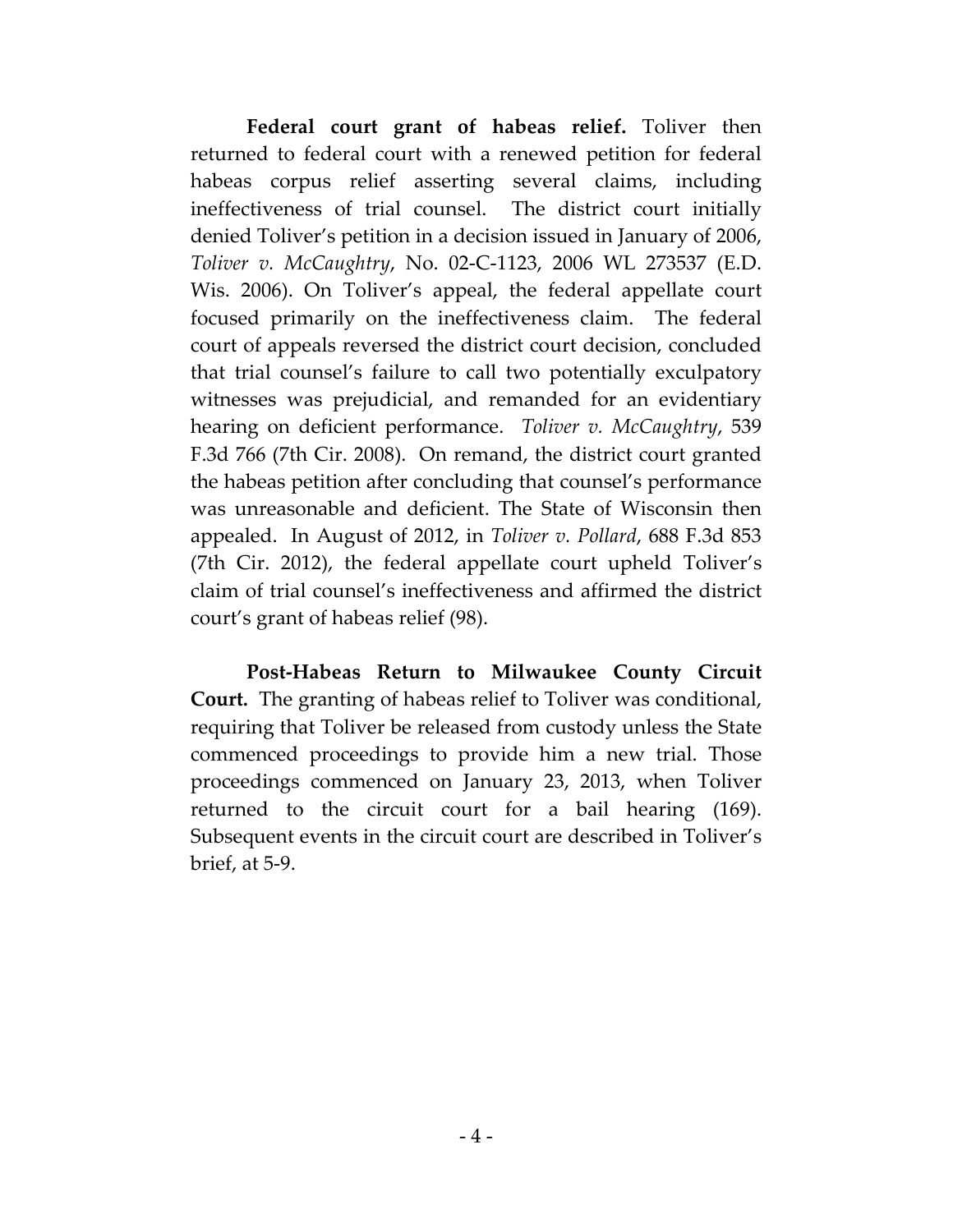**Federal court grant of habeas relief.** Toliver then returned to federal court with a renewed petition for federal habeas corpus relief asserting several claims, including ineffectiveness of trial counsel. The district court initially denied Toliver's petition in a decision issued in January of 2006, *Toliver v. McCaughtry*, No. 02-C-1123, 2006 WL 273537 (E.D. Wis. 2006). On Toliver's appeal, the federal appellate court focused primarily on the ineffectiveness claim. The federal court of appeals reversed the district court decision, concluded that trial counsel's failure to call two potentially exculpatory witnesses was prejudicial, and remanded for an evidentiary hearing on deficient performance. *Toliver v. McCaughtry*, 539 F.3d 766 (7th Cir. 2008). On remand, the district court granted the habeas petition after concluding that counsel's performance was unreasonable and deficient. The State of Wisconsin then appealed. In August of 2012, in *Toliver v. Pollard*, 688 F.3d 853 (7th Cir. 2012), the federal appellate court upheld Toliver's claim of trial counsel's ineffectiveness and affirmed the district court's grant of habeas relief (98).

**Post-Habeas Return to Milwaukee County Circuit Court.** The granting of habeas relief to Toliver was conditional, requiring that Toliver be released from custody unless the State commenced proceedings to provide him a new trial. Those proceedings commenced on January 23, 2013, when Toliver returned to the circuit court for a bail hearing (169). Subsequent events in the circuit court are described in Toliver's brief, at 5-9.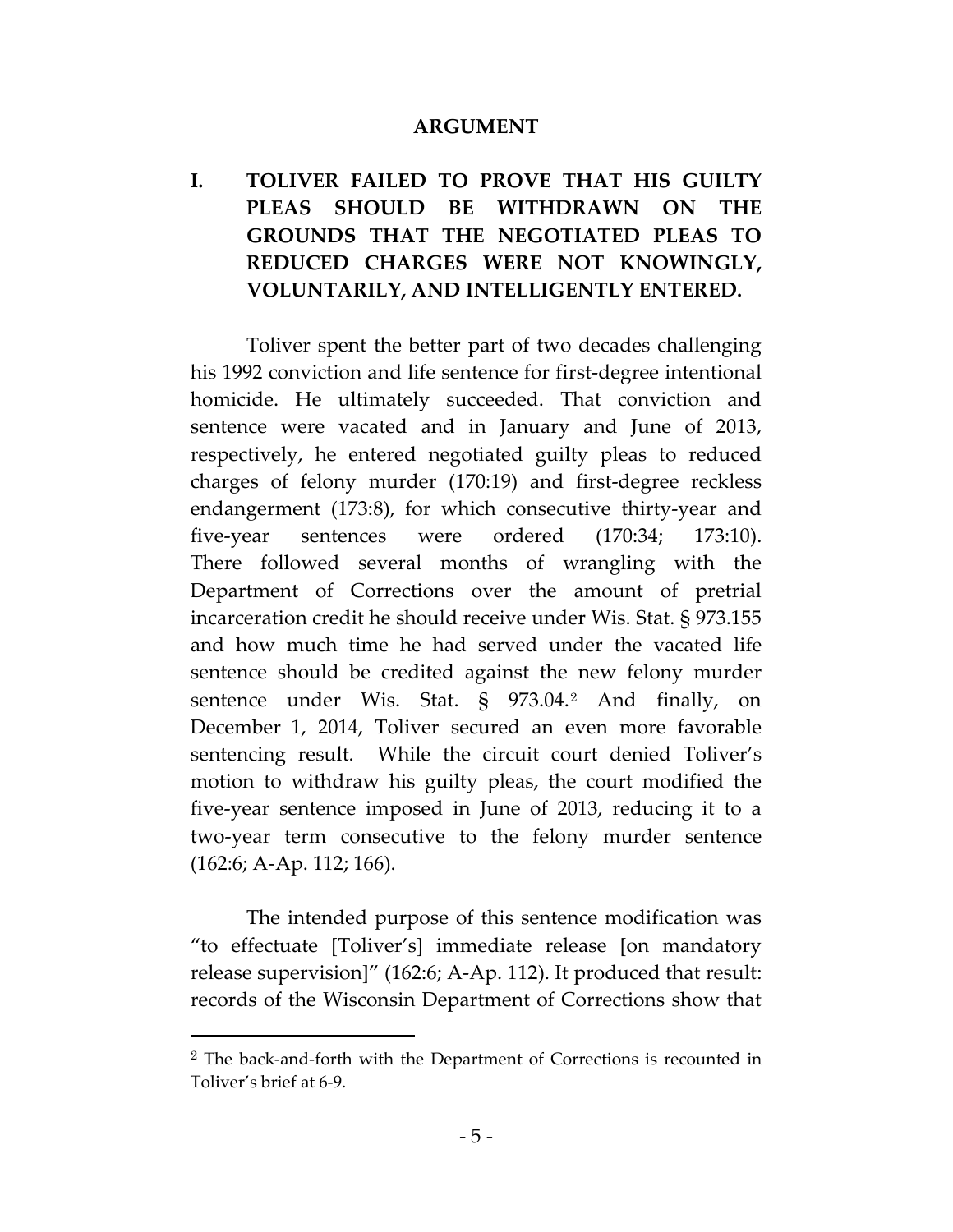#### **ARGUMENT**

# <span id="page-8-0"></span>**I. TOLIVER FAILED TO PROVE THAT HIS GUILTY PLEAS SHOULD BE WITHDRAWN ON THE GROUNDS THAT THE NEGOTIATED PLEAS TO REDUCED CHARGES WERE NOT KNOWINGLY, VOLUNTARILY, AND INTELLIGENTLY ENTERED.**

Toliver spent the better part of two decades challenging his 1992 conviction and life sentence for first-degree intentional homicide. He ultimately succeeded. That conviction and sentence were vacated and in January and June of 2013, respectively, he entered negotiated guilty pleas to reduced charges of felony murder (170:19) and first-degree reckless endangerment (173:8), for which consecutive thirty-year and five-year sentences were ordered (170:34; 173:10). There followed several months of wrangling with the Department of Corrections over the amount of pretrial incarceration credit he should receive under Wis. Stat. § 973.155 and how much time he had served under the vacated life sentence should be credited against the new felony murder sentence under Wis. Stat. § 973.04.<sup>[2](#page-8-0)</sup> And finally, on December 1, 2014, Toliver secured an even more favorable sentencing result. While the circuit court denied Toliver's motion to withdraw his guilty pleas, the court modified the five-year sentence imposed in June of 2013, reducing it to a two-year term consecutive to the felony murder sentence (162:6; A-Ap. 112; 166).

The intended purpose of this sentence modification was "to effectuate [Toliver's] immediate release [on mandatory release supervision]" (162:6; A-Ap. 112). It produced that result: records of the Wisconsin Department of Corrections show that

 $\overline{a}$ 

<sup>2</sup> The back-and-forth with the Department of Corrections is recounted in Toliver's brief at 6-9.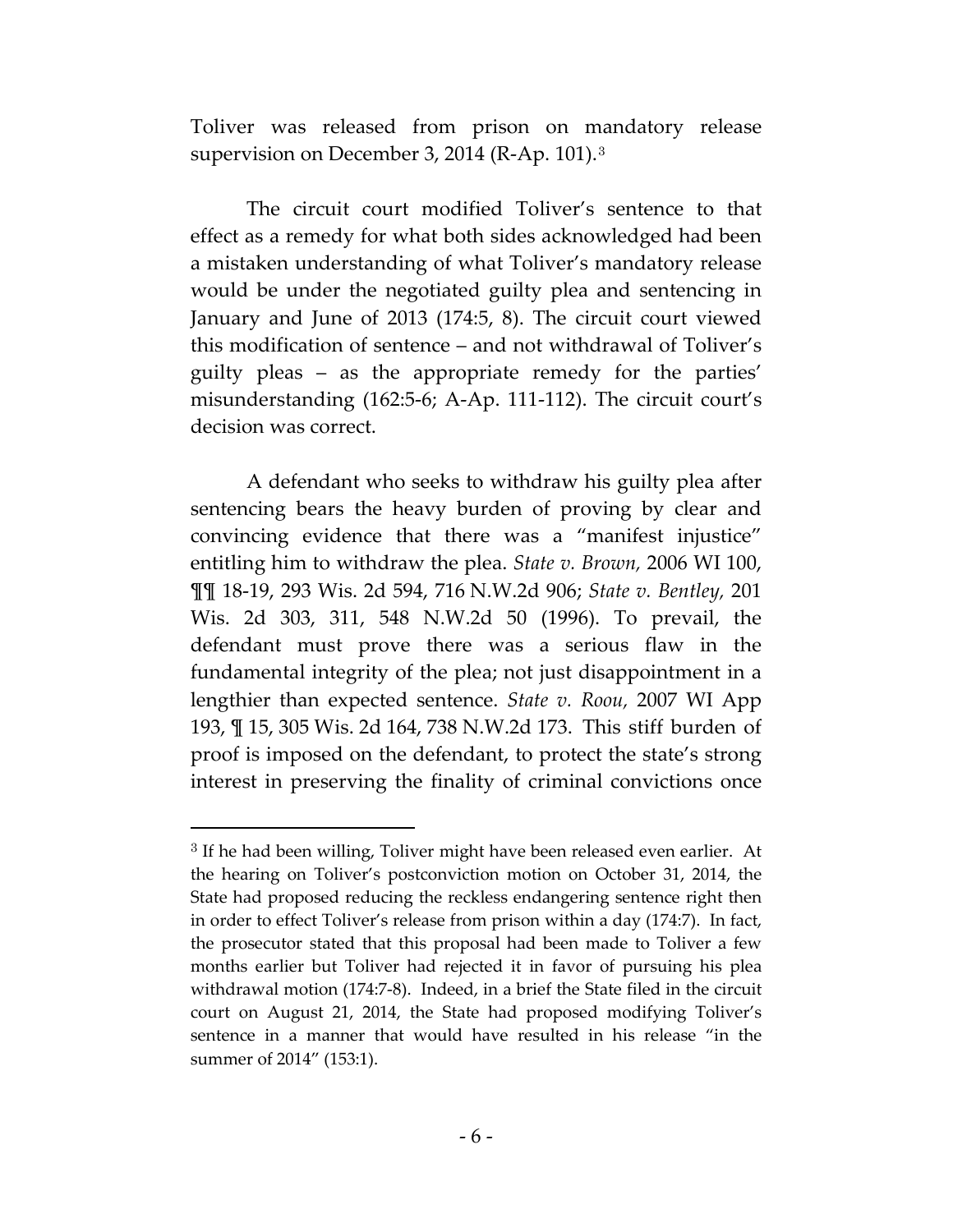Toliver was released from prison on mandatory release supervision on December 3, 2014 (R-Ap. 101).[3](#page-9-0)

The circuit court modified Toliver's sentence to that effect as a remedy for what both sides acknowledged had been a mistaken understanding of what Toliver's mandatory release would be under the negotiated guilty plea and sentencing in January and June of 2013 (174:5, 8). The circuit court viewed this modification of sentence – and not withdrawal of Toliver's guilty pleas – as the appropriate remedy for the parties' misunderstanding (162:5-6; A-Ap. 111-112). The circuit court's decision was correct.

A defendant who seeks to withdraw his guilty plea after sentencing bears the heavy burden of proving by clear and convincing evidence that there was a "manifest injustice" entitling him to withdraw the plea. *State v. Brown,* 2006 WI 100, ¶¶ 18-19, 293 Wis. 2d 594, 716 N.W.2d 906; *State v. Bentley,* 201 Wis. 2d 303, 311, 548 N.W.2d 50 (1996). To prevail, the defendant must prove there was a serious flaw in the fundamental integrity of the plea; not just disappointment in a lengthier than expected sentence. *State v. Roou,* 2007 WI App 193, ¶ 15, 305 Wis. 2d 164, 738 N.W.2d 173. This stiff burden of proof is imposed on the defendant, to protect the state's strong interest in preserving the finality of criminal convictions once

 $\overline{a}$ 

<span id="page-9-0"></span><sup>3</sup> If he had been willing, Toliver might have been released even earlier. At the hearing on Toliver's postconviction motion on October 31, 2014, the State had proposed reducing the reckless endangering sentence right then in order to effect Toliver's release from prison within a day (174:7). In fact, the prosecutor stated that this proposal had been made to Toliver a few months earlier but Toliver had rejected it in favor of pursuing his plea withdrawal motion (174:7-8). Indeed, in a brief the State filed in the circuit court on August 21, 2014, the State had proposed modifying Toliver's sentence in a manner that would have resulted in his release "in the summer of 2014" (153:1).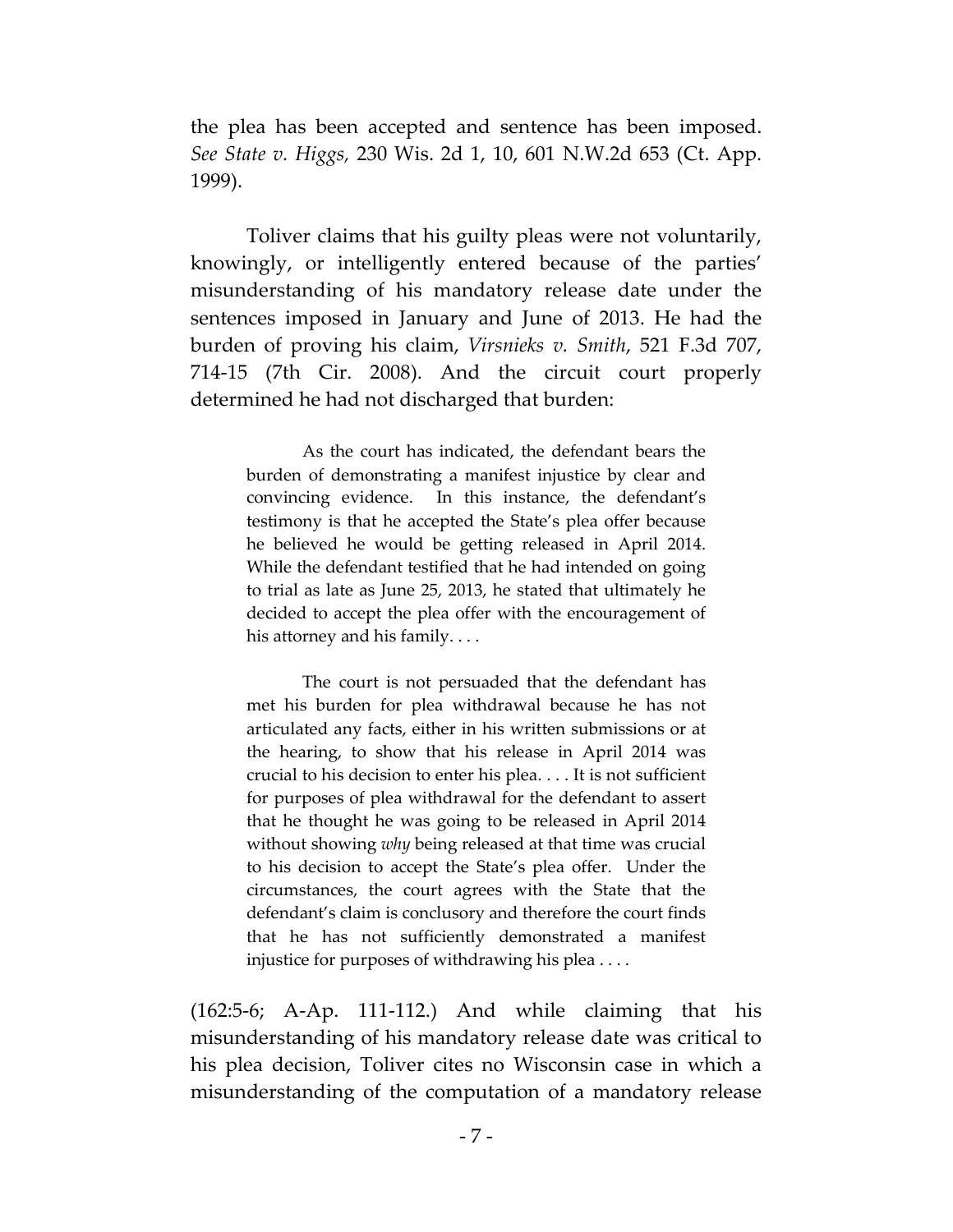the plea has been accepted and sentence has been imposed. *See State v. Higgs,* 230 Wis. 2d 1, 10, 601 N.W.2d 653 (Ct. App. 1999).

Toliver claims that his guilty pleas were not voluntarily, knowingly, or intelligently entered because of the parties' misunderstanding of his mandatory release date under the sentences imposed in January and June of 2013. He had the burden of proving his claim, *Virsnieks v. Smith*, 521 F.3d 707, 714-15 (7th Cir. 2008). And the circuit court properly determined he had not discharged that burden:

As the court has indicated, the defendant bears the burden of demonstrating a manifest injustice by clear and convincing evidence. In this instance, the defendant's testimony is that he accepted the State's plea offer because he believed he would be getting released in April 2014. While the defendant testified that he had intended on going to trial as late as June 25, 2013, he stated that ultimately he decided to accept the plea offer with the encouragement of his attorney and his family. . . .

The court is not persuaded that the defendant has met his burden for plea withdrawal because he has not articulated any facts, either in his written submissions or at the hearing, to show that his release in April 2014 was crucial to his decision to enter his plea. . . . It is not sufficient for purposes of plea withdrawal for the defendant to assert that he thought he was going to be released in April 2014 without showing *why* being released at that time was crucial to his decision to accept the State's plea offer. Under the circumstances, the court agrees with the State that the defendant's claim is conclusory and therefore the court finds that he has not sufficiently demonstrated a manifest injustice for purposes of withdrawing his plea . . . .

(162:5-6; A-Ap. 111-112.) And while claiming that his misunderstanding of his mandatory release date was critical to his plea decision, Toliver cites no Wisconsin case in which a misunderstanding of the computation of a mandatory release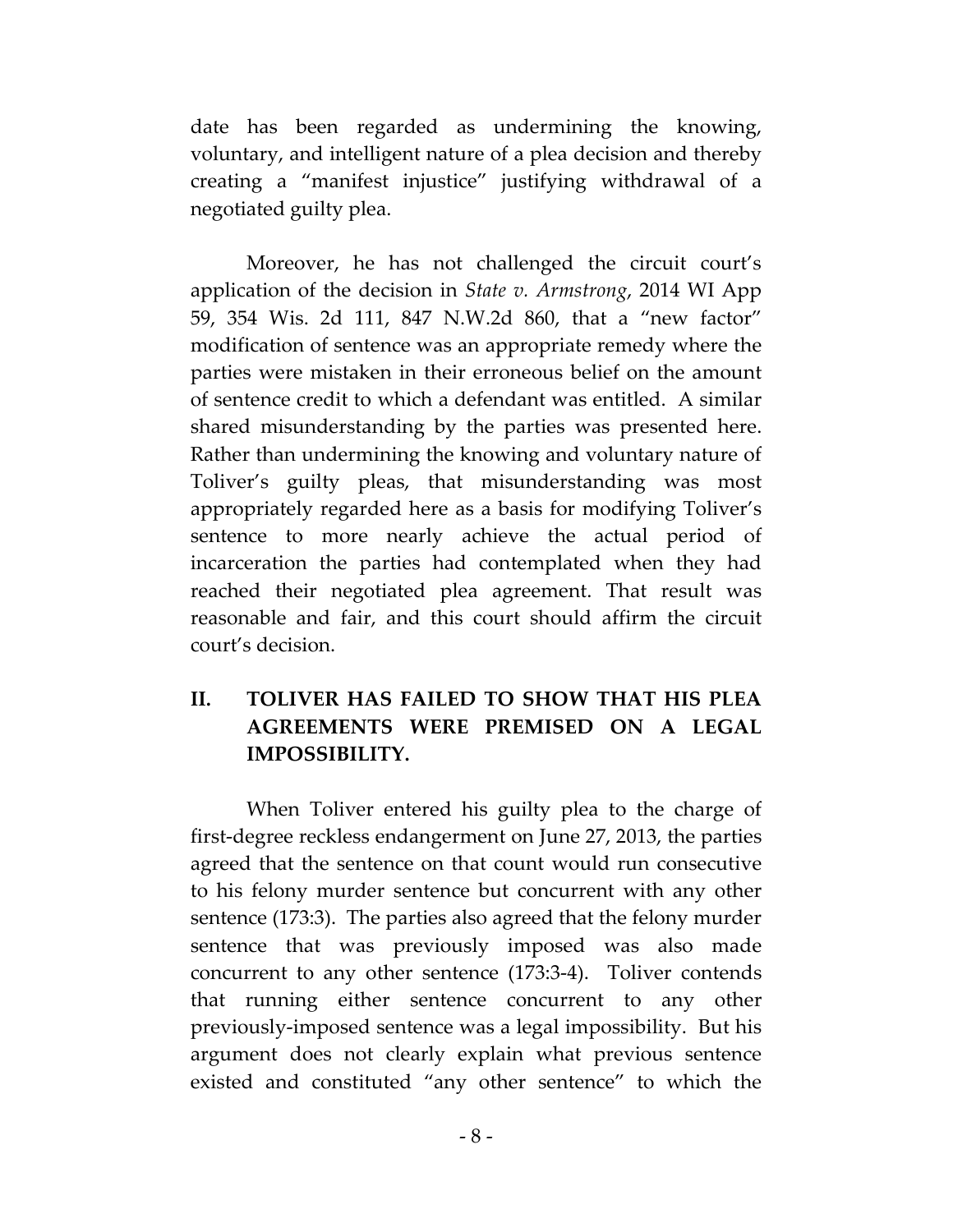date has been regarded as undermining the knowing, voluntary, and intelligent nature of a plea decision and thereby creating a "manifest injustice" justifying withdrawal of a negotiated guilty plea.

Moreover, he has not challenged the circuit court's application of the decision in *State v. Armstrong*, 2014 WI App 59, 354 Wis. 2d 111, 847 N.W.2d 860, that a "new factor" modification of sentence was an appropriate remedy where the parties were mistaken in their erroneous belief on the amount of sentence credit to which a defendant was entitled. A similar shared misunderstanding by the parties was presented here. Rather than undermining the knowing and voluntary nature of Toliver's guilty pleas, that misunderstanding was most appropriately regarded here as a basis for modifying Toliver's sentence to more nearly achieve the actual period of incarceration the parties had contemplated when they had reached their negotiated plea agreement. That result was reasonable and fair, and this court should affirm the circuit court's decision.

### **II. TOLIVER HAS FAILED TO SHOW THAT HIS PLEA AGREEMENTS WERE PREMISED ON A LEGAL IMPOSSIBILITY.**

When Toliver entered his guilty plea to the charge of first-degree reckless endangerment on June 27, 2013, the parties agreed that the sentence on that count would run consecutive to his felony murder sentence but concurrent with any other sentence (173:3). The parties also agreed that the felony murder sentence that was previously imposed was also made concurrent to any other sentence (173:3-4). Toliver contends that running either sentence concurrent to any other previously-imposed sentence was a legal impossibility. But his argument does not clearly explain what previous sentence existed and constituted "any other sentence" to which the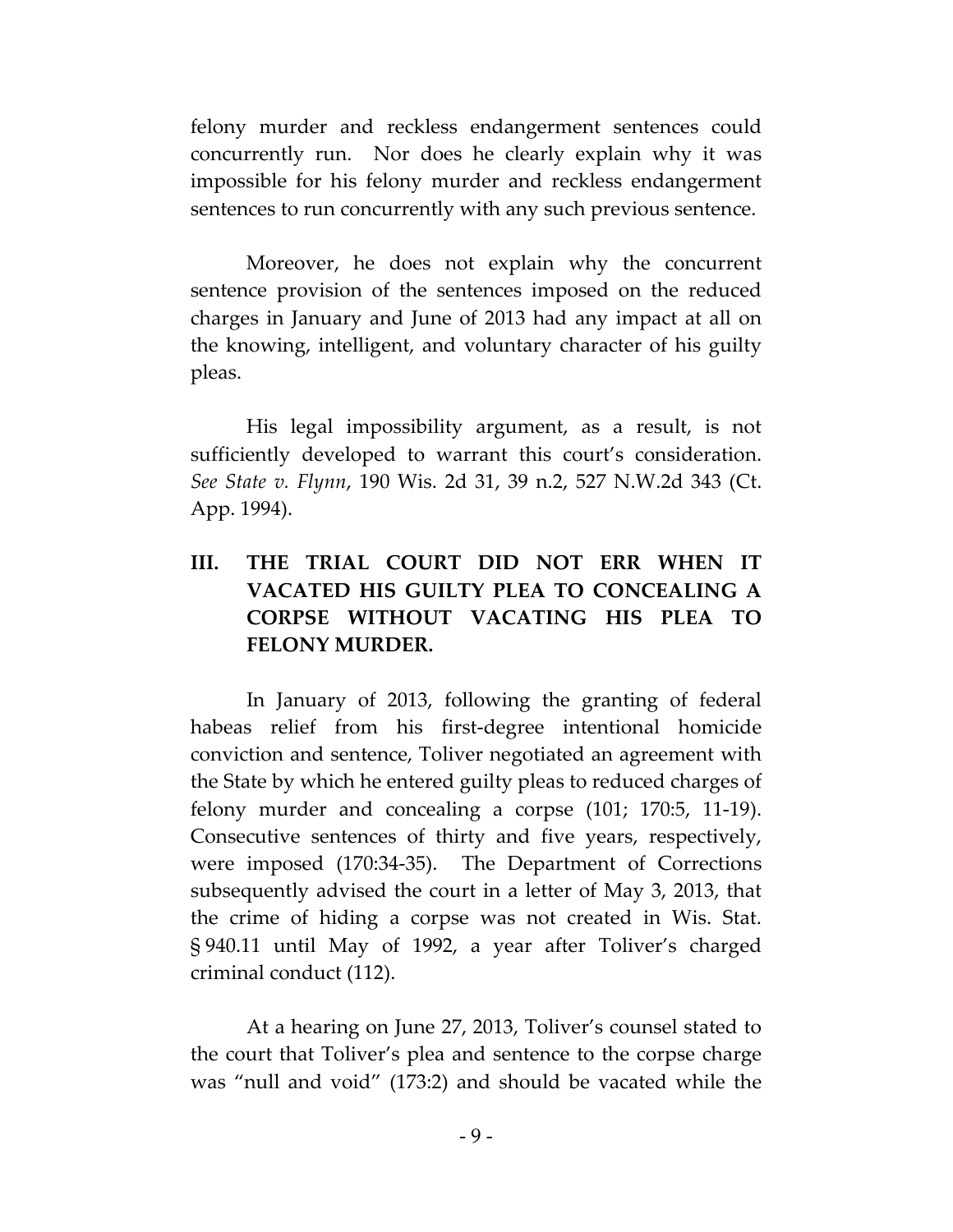felony murder and reckless endangerment sentences could concurrently run. Nor does he clearly explain why it was impossible for his felony murder and reckless endangerment sentences to run concurrently with any such previous sentence.

Moreover, he does not explain why the concurrent sentence provision of the sentences imposed on the reduced charges in January and June of 2013 had any impact at all on the knowing, intelligent, and voluntary character of his guilty pleas.

His legal impossibility argument, as a result, is not sufficiently developed to warrant this court's consideration. *See State v. Flynn*, 190 Wis. 2d 31, 39 n.2, 527 N.W.2d 343 (Ct. App. 1994).

# **III. THE TRIAL COURT DID NOT ERR WHEN IT VACATED HIS GUILTY PLEA TO CONCEALING A CORPSE WITHOUT VACATING HIS PLEA TO FELONY MURDER.**

In January of 2013, following the granting of federal habeas relief from his first-degree intentional homicide conviction and sentence, Toliver negotiated an agreement with the State by which he entered guilty pleas to reduced charges of felony murder and concealing a corpse (101; 170:5, 11-19). Consecutive sentences of thirty and five years, respectively, were imposed (170:34-35). The Department of Corrections subsequently advised the court in a letter of May 3, 2013, that the crime of hiding a corpse was not created in Wis. Stat. § 940.11 until May of 1992, a year after Toliver's charged criminal conduct (112).

At a hearing on June 27, 2013, Toliver's counsel stated to the court that Toliver's plea and sentence to the corpse charge was "null and void" (173:2) and should be vacated while the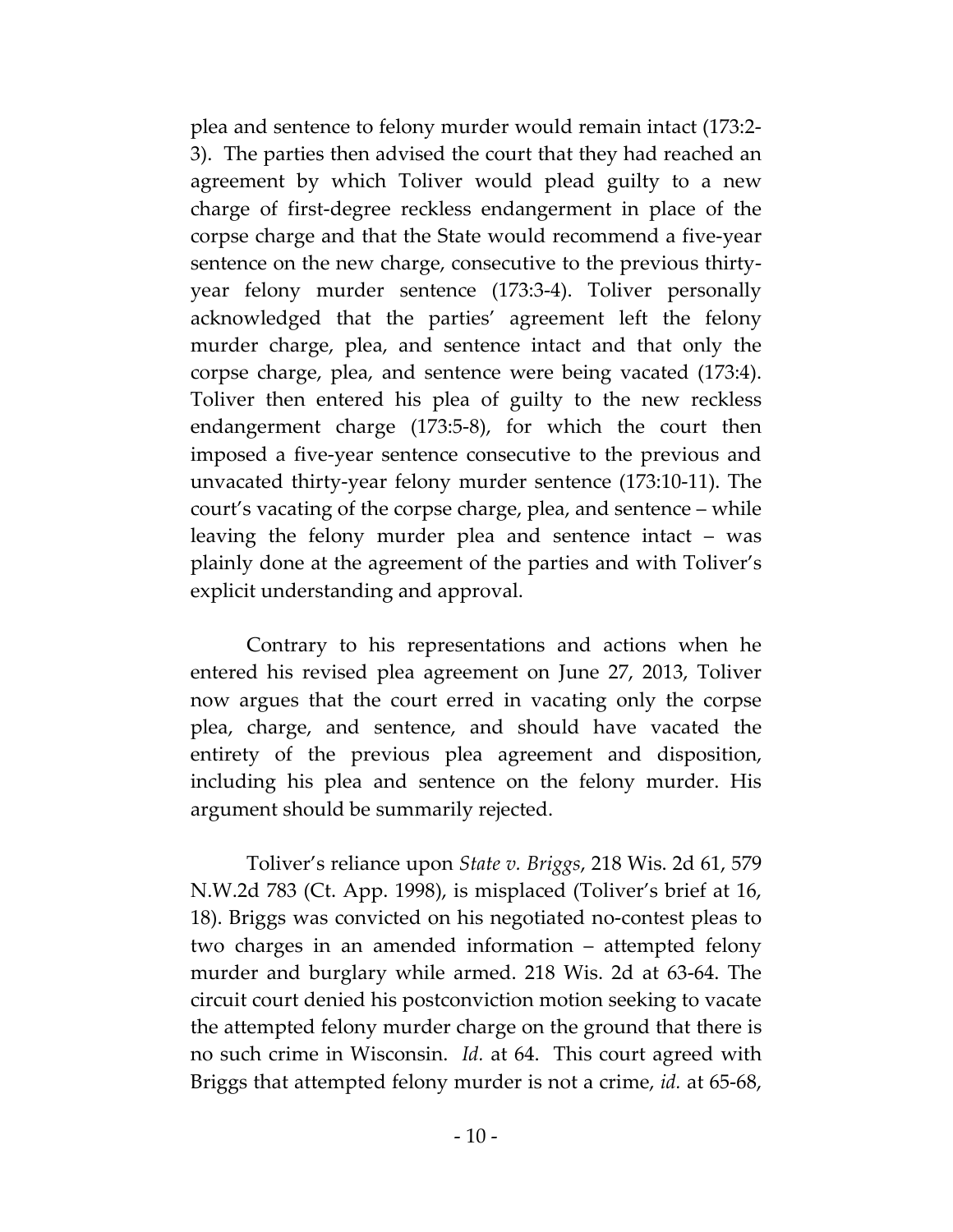plea and sentence to felony murder would remain intact (173:2- 3). The parties then advised the court that they had reached an agreement by which Toliver would plead guilty to a new charge of first-degree reckless endangerment in place of the corpse charge and that the State would recommend a five-year sentence on the new charge, consecutive to the previous thirtyyear felony murder sentence (173:3-4). Toliver personally acknowledged that the parties' agreement left the felony murder charge, plea, and sentence intact and that only the corpse charge, plea, and sentence were being vacated (173:4). Toliver then entered his plea of guilty to the new reckless endangerment charge (173:5-8), for which the court then imposed a five-year sentence consecutive to the previous and unvacated thirty-year felony murder sentence (173:10-11). The court's vacating of the corpse charge, plea, and sentence – while leaving the felony murder plea and sentence intact – was plainly done at the agreement of the parties and with Toliver's explicit understanding and approval.

Contrary to his representations and actions when he entered his revised plea agreement on June 27, 2013, Toliver now argues that the court erred in vacating only the corpse plea, charge, and sentence, and should have vacated the entirety of the previous plea agreement and disposition, including his plea and sentence on the felony murder. His argument should be summarily rejected.

Toliver's reliance upon *State v. Briggs*, 218 Wis. 2d 61, 579 N.W.2d 783 (Ct. App. 1998), is misplaced (Toliver's brief at 16, 18). Briggs was convicted on his negotiated no-contest pleas to two charges in an amended information – attempted felony murder and burglary while armed. 218 Wis. 2d at 63-64. The circuit court denied his postconviction motion seeking to vacate the attempted felony murder charge on the ground that there is no such crime in Wisconsin. *Id.* at 64. This court agreed with Briggs that attempted felony murder is not a crime, *id.* at 65-68,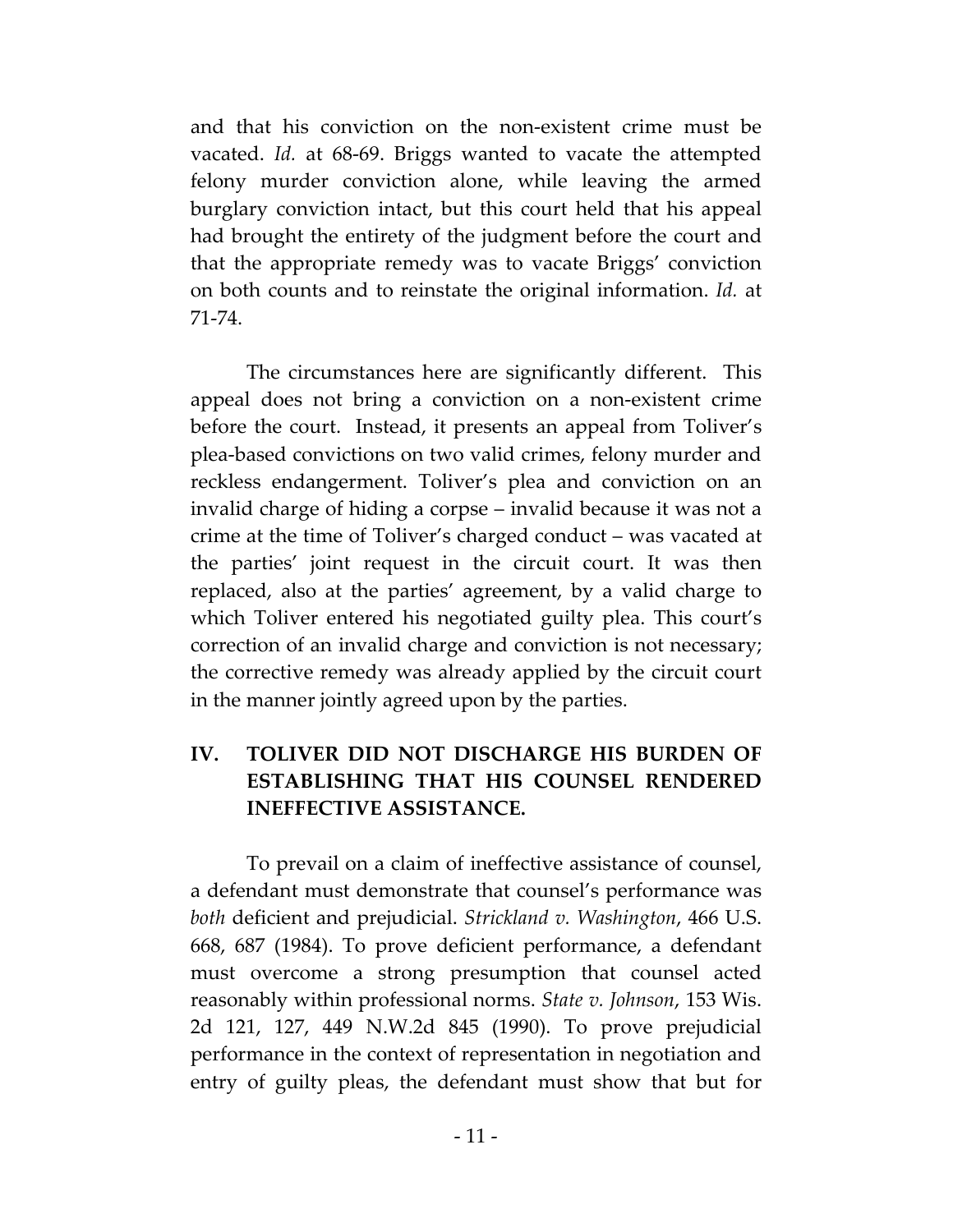and that his conviction on the non-existent crime must be vacated. *Id.* at 68-69. Briggs wanted to vacate the attempted felony murder conviction alone, while leaving the armed burglary conviction intact, but this court held that his appeal had brought the entirety of the judgment before the court and that the appropriate remedy was to vacate Briggs' conviction on both counts and to reinstate the original information. *Id.* at 71-74.

The circumstances here are significantly different. This appeal does not bring a conviction on a non-existent crime before the court. Instead, it presents an appeal from Toliver's plea-based convictions on two valid crimes, felony murder and reckless endangerment. Toliver's plea and conviction on an invalid charge of hiding a corpse – invalid because it was not a crime at the time of Toliver's charged conduct – was vacated at the parties' joint request in the circuit court. It was then replaced, also at the parties' agreement, by a valid charge to which Toliver entered his negotiated guilty plea. This court's correction of an invalid charge and conviction is not necessary; the corrective remedy was already applied by the circuit court in the manner jointly agreed upon by the parties.

# **IV. TOLIVER DID NOT DISCHARGE HIS BURDEN OF ESTABLISHING THAT HIS COUNSEL RENDERED INEFFECTIVE ASSISTANCE.**

To prevail on a claim of ineffective assistance of counsel, a defendant must demonstrate that counsel's performance was *both* deficient and prejudicial. *Strickland v. Washington*, 466 U.S. 668, 687 (1984). To prove deficient performance, a defendant must overcome a strong presumption that counsel acted reasonably within professional norms. *State v. Johnson*, 153 Wis. 2d 121, 127, 449 N.W.2d 845 (1990). To prove prejudicial performance in the context of representation in negotiation and entry of guilty pleas, the defendant must show that but for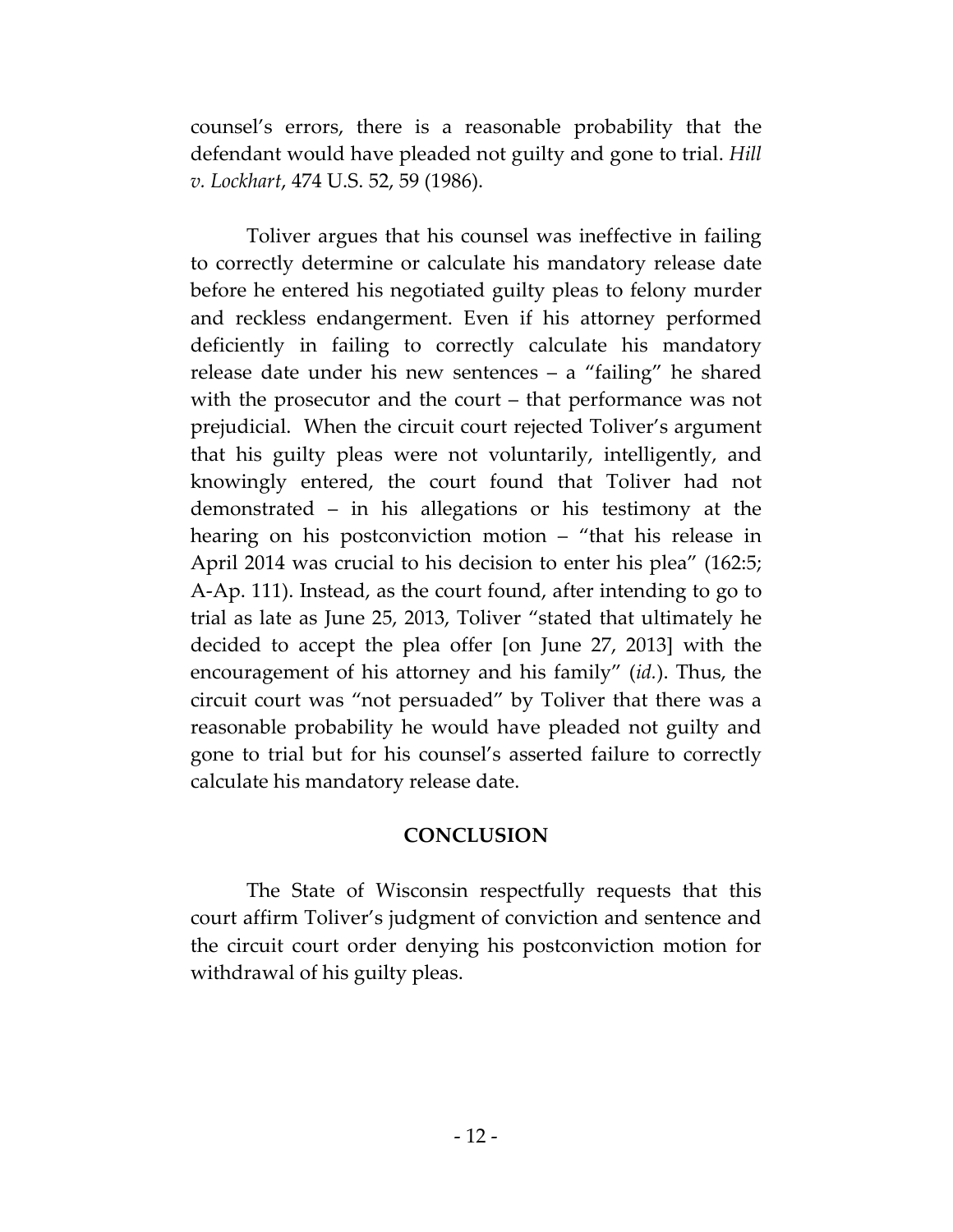counsel's errors, there is a reasonable probability that the defendant would have pleaded not guilty and gone to trial. *Hill v. Lockhart*, 474 U.S. 52, 59 (1986).

Toliver argues that his counsel was ineffective in failing to correctly determine or calculate his mandatory release date before he entered his negotiated guilty pleas to felony murder and reckless endangerment. Even if his attorney performed deficiently in failing to correctly calculate his mandatory release date under his new sentences – a "failing" he shared with the prosecutor and the court – that performance was not prejudicial. When the circuit court rejected Toliver's argument that his guilty pleas were not voluntarily, intelligently, and knowingly entered, the court found that Toliver had not demonstrated – in his allegations or his testimony at the hearing on his postconviction motion – "that his release in April 2014 was crucial to his decision to enter his plea" (162:5; A-Ap. 111). Instead, as the court found, after intending to go to trial as late as June 25, 2013, Toliver "stated that ultimately he decided to accept the plea offer [on June 27, 2013] with the encouragement of his attorney and his family" (*id.*). Thus, the circuit court was "not persuaded" by Toliver that there was a reasonable probability he would have pleaded not guilty and gone to trial but for his counsel's asserted failure to correctly calculate his mandatory release date.

#### **CONCLUSION**

The State of Wisconsin respectfully requests that this court affirm Toliver's judgment of conviction and sentence and the circuit court order denying his postconviction motion for withdrawal of his guilty pleas.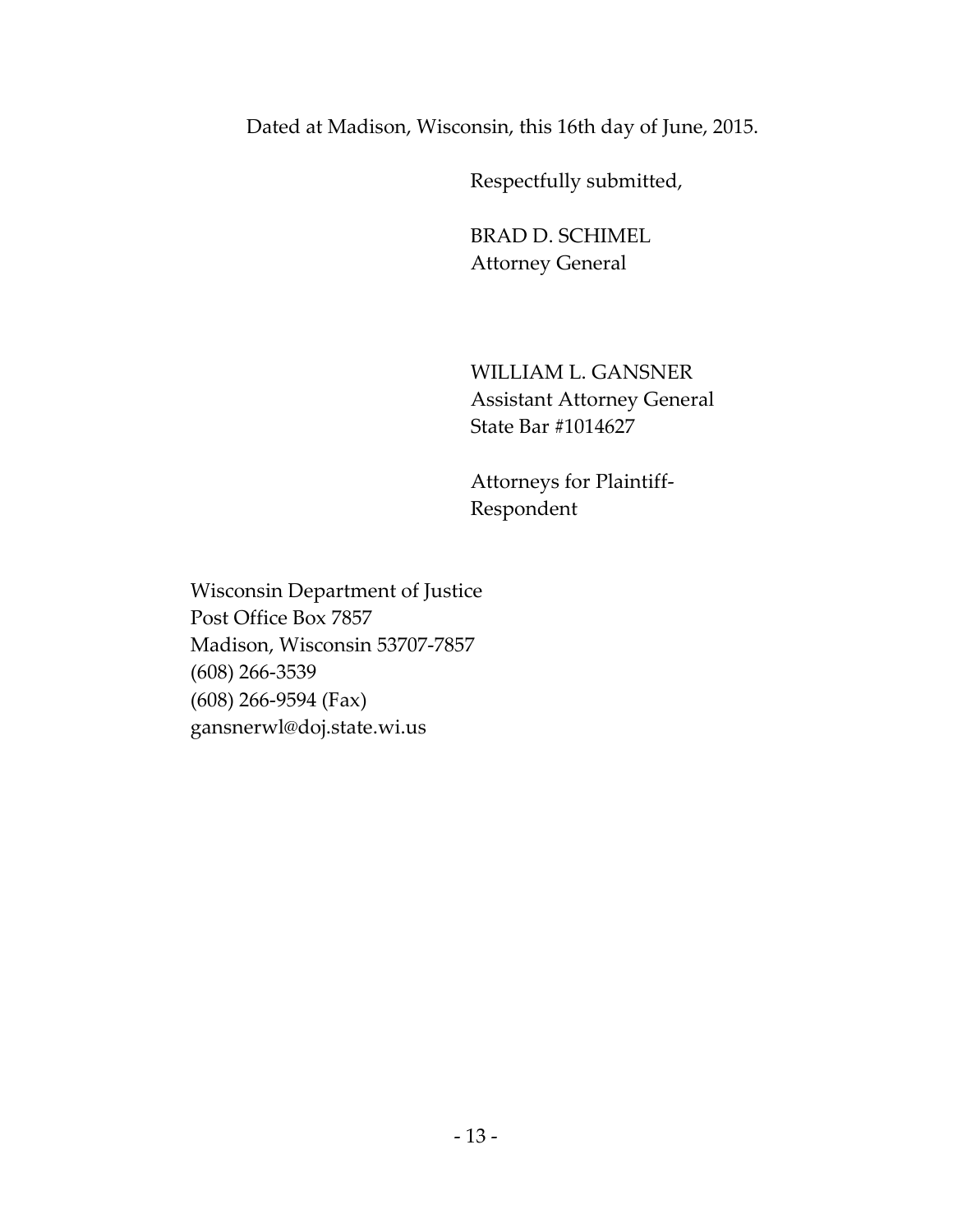Dated at Madison, Wisconsin, this 16th day of June, 2015.

Respectfully submitted,

BRAD D. SCHIMEL Attorney General

WILLIAM L. GANSNER Assistant Attorney General State Bar #1014627

Attorneys for Plaintiff-Respondent

Wisconsin Department of Justice Post Office Box 7857 Madison, Wisconsin 53707-7857 (608) 266-3539 (608) 266-9594 (Fax) gansnerwl@doj.state.wi.us